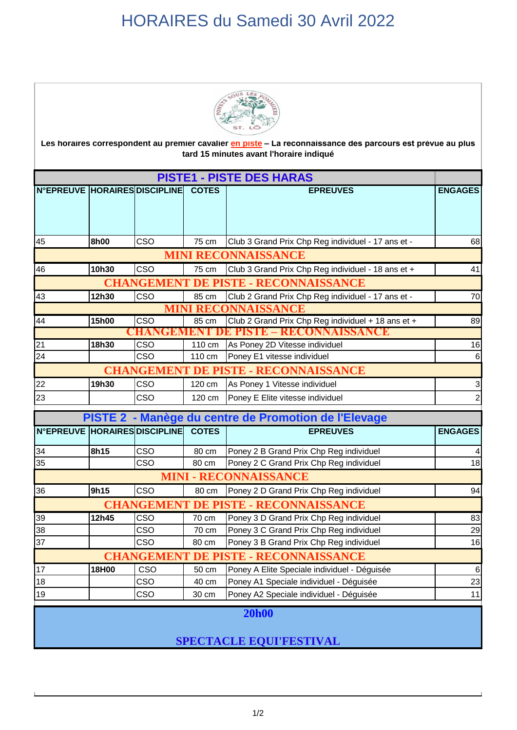## HORAIRES du Samedi 30 Avril 2022



Les horaires correspondent au premier cavalier en piste - La reconnaissance des parcours est prévue au plus **tard 15 minutes avant l'horaire indiqué** 

| <b>PISTE1 - PISTE DES HARAS</b>                       |       |                         |              |                                                    |                           |  |  |  |
|-------------------------------------------------------|-------|-------------------------|--------------|----------------------------------------------------|---------------------------|--|--|--|
| N°EPREUVE HORAIRES DISCIPLINE COTES                   |       |                         |              | <b>EPREUVES</b>                                    | <b>ENGAGES</b>            |  |  |  |
|                                                       |       |                         |              |                                                    |                           |  |  |  |
|                                                       |       |                         |              |                                                    |                           |  |  |  |
| 45                                                    | 8h00  | CSO                     | 75 cm        | Club 3 Grand Prix Chp Reg individuel - 17 ans et - | 68                        |  |  |  |
| <b>MINI RECONNAISSANCE</b>                            |       |                         |              |                                                    |                           |  |  |  |
| 46                                                    | 10h30 | <b>CSO</b>              | 75 cm        | Club 3 Grand Prix Chp Reg individuel - 18 ans et + | 41                        |  |  |  |
| <b>CHANGEMENT</b><br><b>DE PISTE - RECONNAISSANCE</b> |       |                         |              |                                                    |                           |  |  |  |
| 43                                                    | 12h30 | CSO                     | 85 cm        | Club 2 Grand Prix Chp Reg individuel - 17 ans et - | 70                        |  |  |  |
| <b>MINI RECONNAISSANCE</b>                            |       |                         |              |                                                    |                           |  |  |  |
| 44                                                    | 15h00 | $\overline{\text{CSO}}$ | 85 cm        | Club 2 Grand Prix Chp Reg individuel + 18 ans et + | 89                        |  |  |  |
| CHANGEMENT DE PISTE – RECONNAISSANCE                  |       |                         |              |                                                    |                           |  |  |  |
| $\overline{21}$                                       | 18h30 | CSO                     | 110 cm       | As Poney 2D Vitesse individuel                     | 16                        |  |  |  |
| 24                                                    |       | CSO                     | 110 cm       | Poney E1 vitesse individuel                        | 6                         |  |  |  |
| <b>CHANGEMENT DE PISTE - RECONNAISSANCE</b>           |       |                         |              |                                                    |                           |  |  |  |
| 22                                                    | 19h30 | CSO                     | 120 cm       | As Poney 1 Vitesse individuel                      | $\ensuremath{\mathsf{3}}$ |  |  |  |
| 23                                                    |       | CSO                     | 120 cm       | Poney E Elite vitesse individuel                   | $\overline{c}$            |  |  |  |
| PISTE 2 - Manège du centre de Promotion de l'Elevage  |       |                         |              |                                                    |                           |  |  |  |
| N°EPREUVE HORAIRES DISCIPLINE                         |       |                         | <b>COTES</b> | <b>EPREUVES</b>                                    | <b>ENGAGES</b>            |  |  |  |
| 34                                                    | 8h15  | CSO                     | 80 cm        | Poney 2 B Grand Prix Chp Reg individuel            |                           |  |  |  |
| 35                                                    |       | CSO                     | 80 cm        | Poney 2 C Grand Prix Chp Reg individuel            | 18                        |  |  |  |
| <b>MINI - RECONNAISSANCE</b>                          |       |                         |              |                                                    |                           |  |  |  |
| 36                                                    | 9h15  | <b>CSO</b>              | 80 cm        | Poney 2 D Grand Prix Chp Reg individuel            | 94                        |  |  |  |
| <b>CHANGEMENT</b><br><b>DE PISTE - RECONNAISSANCE</b> |       |                         |              |                                                    |                           |  |  |  |
| 39                                                    | 12h45 | CSO                     | 70 cm        | Poney 3 D Grand Prix Chp Reg individuel            | 83                        |  |  |  |
| 38                                                    |       | CSO                     | 70 cm        | Poney 3 C Grand Prix Chp Reg individuel            | 29                        |  |  |  |
| 37                                                    |       | CSO                     | 80 cm        | Poney 3 B Grand Prix Chp Reg individuel            | 16                        |  |  |  |
| <b>CHANGEMENT DE PISTE - RECONNAISSANCE</b>           |       |                         |              |                                                    |                           |  |  |  |
| 17                                                    | 18H00 | CSO                     | 50 cm        | Poney A Elite Speciale individuel - Déguisée       | $\,6$                     |  |  |  |
| 18                                                    |       | CSO                     | 40 cm        | Poney A1 Speciale individuel - Déguisée            | 23                        |  |  |  |
| 19                                                    |       | CSO                     | 30 cm        | Poney A2 Speciale individuel - Déguisée            | 11                        |  |  |  |

**20h00**

**SPECTACLE EQUI'FESTIVAL**